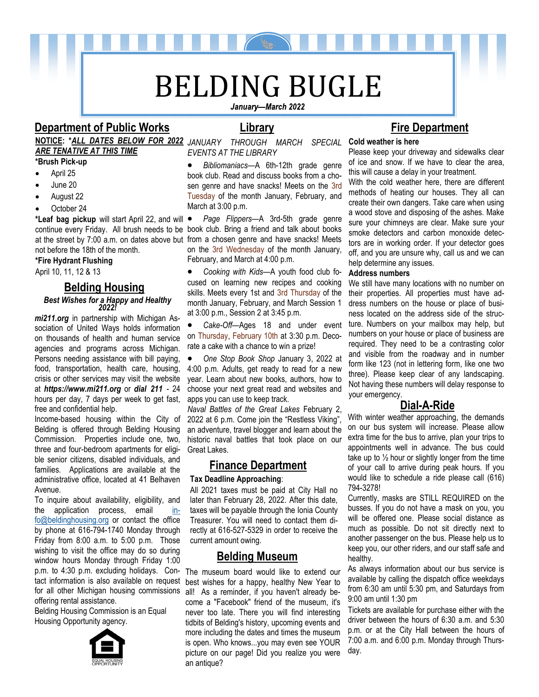# BELDING BUGLE

### **Department of Public Works Library**

## *ARE TENATIVE AT THIS TIME*

**\*Brush Pick-up** 

- April 25
- June 20
- August 22
- October 24

\*Leaf bag pickup will start April 22, and will • not before the 18th of the month.

**\*Fire Hydrant Flushing**

April 10, 11, 12 & 13

### **Belding Housing**

### *Best Wishes for a Happy and Healthy 2022!*

*mi211.org* in partnership with Michigan Association of United Ways holds information on thousands of health and human service agencies and programs across Michigan. Persons needing assistance with bill paying, food, transportation, health care, housing, crisis or other services may visit the website at *https://www.mi211.org* or *dial 211* - 24 hours per day, 7 days per week to get fast, free and confidential help.

Income-based housing within the City of Belding is offered through Belding Housing Commission. Properties include one, two, three and four-bedroom apartments for eligible senior citizens, disabled individuals, and families. Applications are available at the administrative office, located at 41 Belhaven Avenue.

[fo@beldinghousing.org](mailto:info@beldinghousing.org) or contact the office<br>by phane at 616,704,1740 Manday through Friday from 8:00 a.m. to 5:00 p.m. Those To inquire about availability, eligibility, and the application process, email [in](mailto:info@beldinghousing.org)by phone at 616-794-1740 Monday through wishing to visit the office may do so during window hours Monday through Friday 1:00 p.m. to 4:30 p.m. excluding holidays. Contact information is also available on request for all other Michigan housing commissions offering rental assistance.

Belding Housing Commission is an Equal Housing Opportunity agency.



**NOTICE: \****ALL DATES BELOW FOR 2022 JANUARY THROUGH MARCH SPECIAL*  **Cold weather is here**  *EVENTS AT THE LIBRARY*

> • *Bibliomaniacs*—A 6th-12th grade genre book club. Read and discuss books from a chosen genre and have snacks! Meets on the 3rd Tuesday of the month January, February, and March at 3:00 p.m.

continue every Friday. All brush needs to be book club. Bring a friend and talk about books at the street by 7:00 a.m. on dates above but from a chosen genre and have snacks! Meets • *Page Flippers*—A 3rd-5th grade genre on the 3rd Wednesday of the month January, February, and March at 4:00 p.m.

> • *Cooking with Kids*—A youth food club focused on learning new recipes and cooking skills. Meets every 1st and 3rd Thursday of the month January, February, and March Session 1 at 3:00 p.m., Session 2 at 3:45 p.m.

> • *Cake-Off*—Ages 18 and under event on Thursday, February 10th at 3:30 p.m. Decorate a cake with a chance to win a prize!

> • *One Stop Book Shop* January 3, 2022 at 4:00 p.m. Adults, get ready to read for a new year. Learn about new books, authors, how to choose your next great read and websites and apps you can use to keep track.

> *Naval Battles of the Great Lakes* February 2, 2022 at 6 p.m. Come join the "Restless Viking", an adventure, travel blogger and learn about the historic naval battles that took place on our Great Lakes.

### **Finance Department**

### **Tax Deadline Approaching**:

All 2021 taxes must be paid at City Hall no later than February 28, 2022. After this date, taxes will be payable through the Ionia County Treasurer. You will need to contact them directly at 616-527-5329 in order to receive the current amount owing.

### **Belding Museum**

The museum board would like to extend our best wishes for a happy, healthy New Year to all! As a reminder, if you haven't already become a "Facebook" friend of the museum, it's never too late. There you will find interesting tidbits of Belding's history, upcoming events and more including the dates and times the museum is open. Who knows...you may even see YOUR picture on our page! Did you realize you were an antique?

### **Fire Department**

Please keep your driveway and sidewalks clear of ice and snow. If we have to clear the area, this will cause a delay in your treatment.

With the cold weather here, there are different methods of heating our houses. They all can create their own dangers. Take care when using a wood stove and disposing of the ashes. Make sure your chimneys are clear. Make sure your smoke detectors and carbon monoxide detectors are in working order. If your detector goes off, and you are unsure why, call us and we can help determine any issues.

### **Address numbers**

We still have many locations with no number on their properties. All properties must have address numbers on the house or place of business located on the address side of the structure. Numbers on your mailbox may help, but numbers on your house or place of business are required. They need to be a contrasting color and visible from the roadway and in number form like 123 (not in lettering form, like one two three). Please keep clear of any landscaping. Not having these numbers will delay response to your emergency.

### **Dial-A-Ride**

With winter weather approaching, the demands on our bus system will increase. Please allow extra time for the bus to arrive, plan your trips to appointments well in advance. The bus could take up to  $\frac{1}{2}$  hour or slightly longer from the time of your call to arrive during peak hours. If you would like to schedule a ride please call (616) 794-3278!

Currently, masks are STILL REQUIRED on the busses. If you do not have a mask on you, you will be offered one. Please social distance as much as possible. Do not sit directly next to another passenger on the bus. Please help us to keep you, our other riders, and our staff safe and healthy.

As always information about our bus service is available by calling the dispatch office weekdays from 6:30 am until 5:30 pm, and Saturdays from 9:00 am until 1:30 pm

Tickets are available for purchase either with the driver between the hours of 6:30 a.m. and 5:30 p.m. or at the City Hall between the hours of 7:00 a.m. and 6:00 p.m. Monday through Thursday.